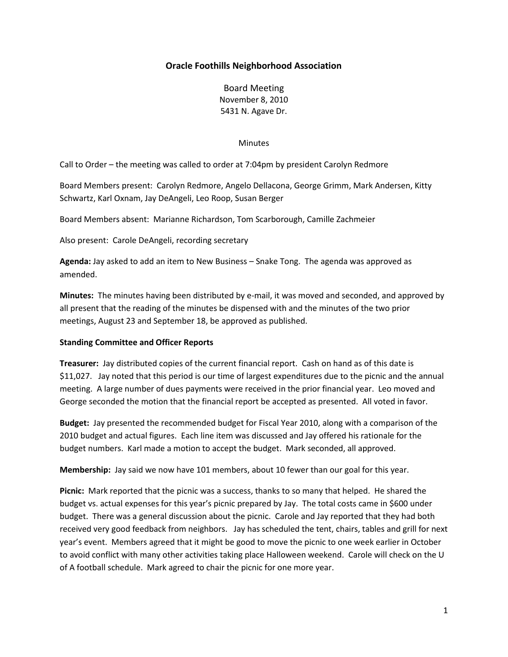# **Oracle Foothills Neighborhood Association**

Board Meeting November 8, 2010 5431 N. Agave Dr.

#### **Minutes**

Call to Order – the meeting was called to order at 7:04pm by president Carolyn Redmore

Board Members present: Carolyn Redmore, Angelo Dellacona, George Grimm, Mark Andersen, Kitty Schwartz, Karl Oxnam, Jay DeAngeli, Leo Roop, Susan Berger

Board Members absent: Marianne Richardson, Tom Scarborough, Camille Zachmeier

Also present: Carole DeAngeli, recording secretary

**Agenda:** Jay asked to add an item to New Business – Snake Tong. The agenda was approved as amended.

**Minutes:** The minutes having been distributed by e-mail, it was moved and seconded, and approved by all present that the reading of the minutes be dispensed with and the minutes of the two prior meetings, August 23 and September 18, be approved as published.

### **Standing Committee and Officer Reports**

**Treasurer:** Jay distributed copies of the current financial report. Cash on hand as of this date is \$11,027. Jay noted that this period is our time of largest expenditures due to the picnic and the annual meeting. A large number of dues payments were received in the prior financial year. Leo moved and George seconded the motion that the financial report be accepted as presented. All voted in favor.

**Budget:** Jay presented the recommended budget for Fiscal Year 2010, along with a comparison of the 2010 budget and actual figures. Each line item was discussed and Jay offered his rationale for the budget numbers. Karl made a motion to accept the budget. Mark seconded, all approved.

**Membership:** Jay said we now have 101 members, about 10 fewer than our goal for this year.

**Picnic:** Mark reported that the picnic was a success, thanks to so many that helped. He shared the budget vs. actual expenses for this year's picnic prepared by Jay. The total costs came in \$600 under budget. There was a general discussion about the picnic. Carole and Jay reported that they had both received very good feedback from neighbors. Jay has scheduled the tent, chairs, tables and grill for next year's event. Members agreed that it might be good to move the picnic to one week earlier in October to avoid conflict with many other activities taking place Halloween weekend. Carole will check on the U of A football schedule. Mark agreed to chair the picnic for one more year.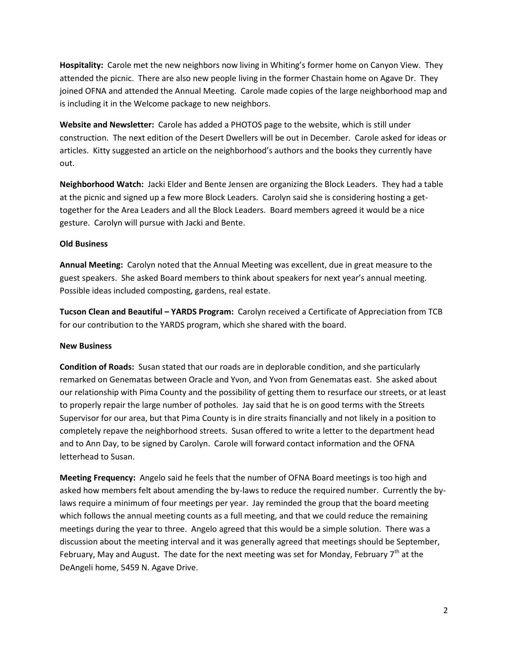**Hospitality:** Carole met the new neighbors now living in Whiting's former home on Canyon View. They attended the picnic. There are also new people living in the former Chastain home on Agave Dr. They joined OFNA and attended the Annual Meeting. Carole made copies of the large neighborhood map and is including it in the Welcome package to new neighbors.

**Website and Newsletter:** Carole has added a PHOTOS page to the website, which is still under construction. The next edition of the Desert Dwellers will be out in December. Carole asked for ideas or articles. Kitty suggested an article on the neighborhood's authors and the books they currently have out.

**Neighborhood Watch:** Jacki Elder and Bente Jensen are organizing the Block Leaders. They had a table at the picnic and signed up a few more Block Leaders. Carolyn said she is considering hosting a gettogether for the Area Leaders and all the Block Leaders. Board members agreed it would be a nice gesture. Carolyn will pursue with Jacki and Bente.

## **Old Business**

**Annual Meeting:** Carolyn noted that the Annual Meeting was excellent, due in great measure to the guest speakers. She asked Board members to think about speakers for next year's annual meeting. Possible ideas included composting, gardens, real estate.

**Tucson Clean and Beautiful – YARDS Program:** Carolyn received a Certificate of Appreciation from TCB for our contribution to the YARDS program, which she shared with the board.

### **New Business**

**Condition of Roads:** Susan stated that our roads are in deplorable condition, and she particularly remarked on Genematas between Oracle and Yvon, and Yvon from Genematas east. She asked about our relationship with Pima County and the possibility of getting them to resurface our streets, or at least to properly repair the large number of potholes. Jay said that he is on good terms with the Streets Supervisor for our area, but that Pima County is in dire straits financially and not likely in a position to completely repave the neighborhood streets. Susan offered to write a letter to the department head and to Ann Day, to be signed by Carolyn. Carole will forward contact information and the OFNA letterhead to Susan.

**Meeting Frequency:** Angelo said he feels that the number of OFNA Board meetings is too high and asked how members felt about amending the by-laws to reduce the required number. Currently the bylaws require a minimum of four meetings per year. Jay reminded the group that the board meeting which follows the annual meeting counts as a full meeting, and that we could reduce the remaining meetings during the year to three. Angelo agreed that this would be a simple solution. There was a discussion about the meeting interval and it was generally agreed that meetings should be September, February, May and August. The date for the next meeting was set for Monday, February  $7<sup>th</sup>$  at the DeAngeli home, 5459 N. Agave Drive.